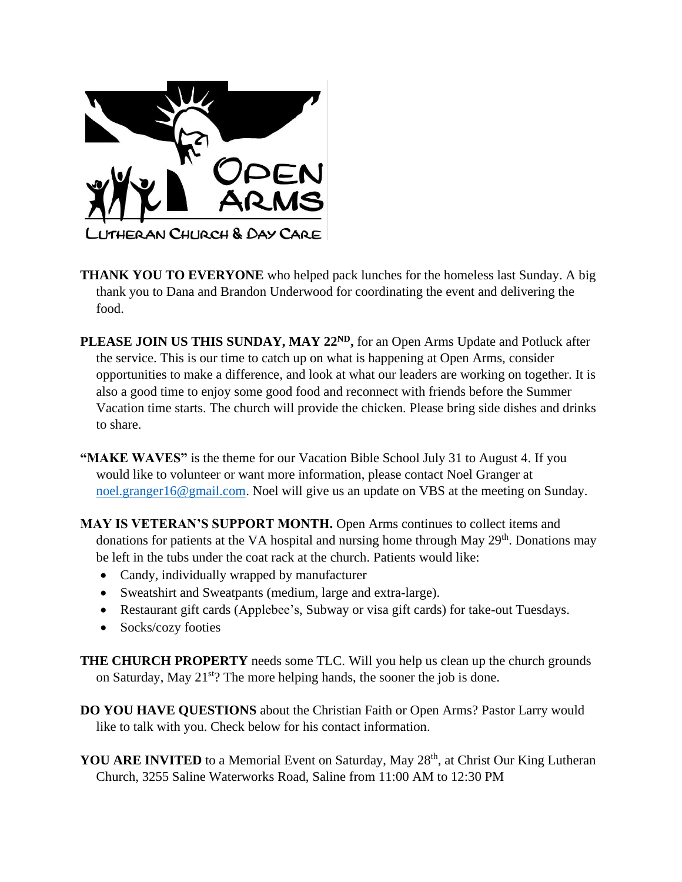

- **THANK YOU TO EVERYONE** who helped pack lunches for the homeless last Sunday. A big thank you to Dana and Brandon Underwood for coordinating the event and delivering the food.
- **PLEASE JOIN US THIS SUNDAY, MAY 22<sup>ND</sup>**, for an Open Arms Update and Potluck after the service. This is our time to catch up on what is happening at Open Arms, consider opportunities to make a difference, and look at what our leaders are working on together. It is also a good time to enjoy some good food and reconnect with friends before the Summer Vacation time starts. The church will provide the chicken. Please bring side dishes and drinks to share.
- **"MAKE WAVES"** is the theme for our Vacation Bible School July 31 to August 4. If you would like to volunteer or want more information, please contact Noel Granger at [noel.granger16@gmail.com.](mailto:noel.granger16@gmail.com) Noel will give us an update on VBS at the meeting on Sunday.
- **MAY IS VETERAN'S SUPPORT MONTH.** Open Arms continues to collect items and donations for patients at the VA hospital and nursing home through May 29<sup>th</sup>. Donations may be left in the tubs under the coat rack at the church. Patients would like:
	- Candy, individually wrapped by manufacturer
	- Sweatshirt and Sweatpants (medium, large and extra-large).
	- Restaurant gift cards (Applebee's, Subway or visa gift cards) for take-out Tuesdays.
	- Socks/cozy footies
- **THE CHURCH PROPERTY** needs some TLC. Will you help us clean up the church grounds on Saturday, May 21<sup>st</sup>? The more helping hands, the sooner the job is done.
- **DO YOU HAVE QUESTIONS** about the Christian Faith or Open Arms? Pastor Larry would like to talk with you. Check below for his contact information.
- **YOU ARE INVITED** to a Memorial Event on Saturday, May 28<sup>th</sup>, at Christ Our King Lutheran Church, 3255 Saline Waterworks Road, Saline from 11:00 AM to 12:30 PM